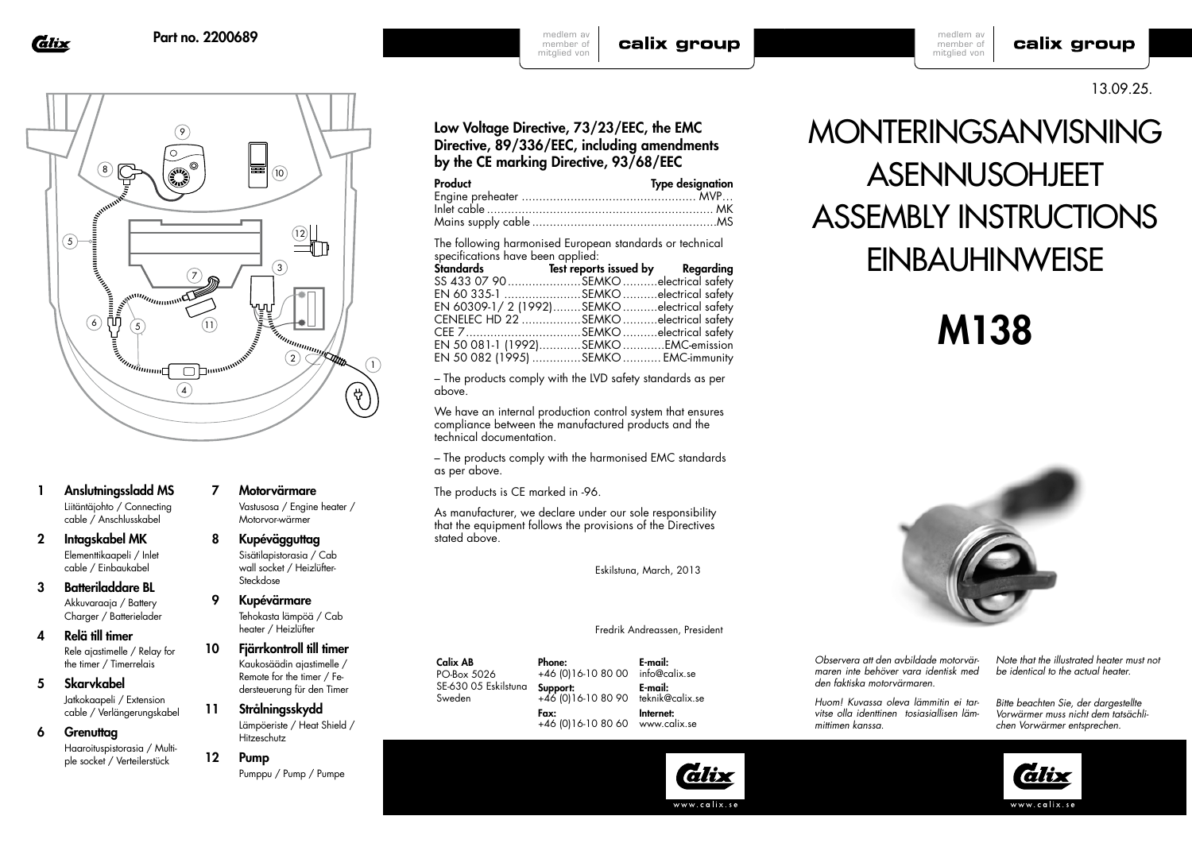Glix



- 1 Anslutningssladd MS Liitäntäjohto / Connecting cable / Anschlusskabel
- 2 Intagskabel MK Elementtikaapeli / Inlet cable / Einbaukabel
- 3 Batteriladdare BL Akkuvaraaja / Battery Charger / Batterielader
- 4 Relä till timer Rele ajastimelle / Relay for the timer / Timerrelais
- 5 Skarvkabel Jatkokaapeli / Extension cable / Verlängerungskabel
- 6 Grenuttag Haaroituspistorasia / Multiple socket / Verteilerstück
- 7 Motorvärmare
- 8 Kupévägguttag Sisätilapistorasia / Cab wall socket / Heizlüfter-Steckdose

9 Kupévärmare heater / Heizlüfter

- 10 Fjärrkontroll till timer Kaukosäädin ajastimelle / Remote for the timer / Federsteuerung für den Timer
- 11 Strålningsskydd Lämpöeriste / Heat Shield / Hitzeschutz
- 12 Pump Pumppu / Pump / Pumpe

 Vastusosa / Engine heater / Motorvor-wärmer

Tehokasta lämpöä / Cab

#### Fredrik Andreassen, President

Calix AB PO-Box 5026 SE-630 05 Eskilstuna Sweden Phone: Support: Fax:

+46 (0)16-10 80 00 +46 (0)16-10 80 90 info@calix.se E-mail: teknik@calix.se Internet:

E-mail:

+46 (0)16-10 80 60 www.calix.se

lälix

www.calix.se



medlem av member of mitglied von

calix group

13.09.25.

# Low Voltage Directive, 73/23/EEC, the EMC Directive, 89/336/EEC, including amendments by the CE marking Directive, 93/68/EEC

| Product | <b>Type designation</b> |
|---------|-------------------------|
|         |                         |
|         |                         |
|         |                         |

The following harmonised European standards or technical specifications have been applied:

| SS 433 07 90 SEMKO electrical safety      |  |
|-------------------------------------------|--|
| EN 60 335-1 SEMKO electrical safety       |  |
| EN 60309-1/2 (1992)SEMKOelectrical safety |  |
| CENELEC HD 22 SEMKO electrical safety     |  |
| CEE 7SEMKO electrical safety              |  |
| EN 50 081-1 (1992)SEMKOEMC-emission       |  |
| EN 50 082 (1995) SEMKO  EMC-immunity      |  |

– The products comply with the LVD safety standards as per above.

We have an internal production control system that ensures compliance between the manufactured products and the technical documentation.

– The products comply with the harmonised EMC standards as per above.

The products is CE marked in -96.

As manufacturer, we declare under our sole responsibility that the equipment follows the provisions of the Directives stated above.

Eskilstuna, March, 2013

#### *Observera att den avbildade motorvärmaren inte behöver vara identisk med den faktiska motorvärmaren.*

*Note that the illustrated heater must not be identical to the actual heater.*

*Huom! Kuvassa oleva lämmitin ei tarvitse olla identtinen tosiasiallisen lämmittimen kanssa.*

*Bitte beachten Sie, der dargestellte Vorwärmer muss nicht dem tatsächlichen Vorwärmer entsprechen.* 





# M138





calix group

medlem av member of mitglied von